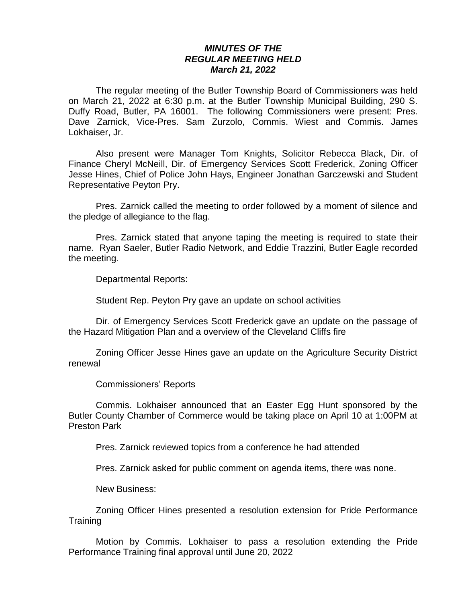## *MINUTES OF THE REGULAR MEETING HELD March 21, 2022*

The regular meeting of the Butler Township Board of Commissioners was held on March 21, 2022 at 6:30 p.m. at the Butler Township Municipal Building, 290 S. Duffy Road, Butler, PA 16001. The following Commissioners were present: Pres. Dave Zarnick, Vice-Pres. Sam Zurzolo, Commis. Wiest and Commis. James Lokhaiser, Jr.

Also present were Manager Tom Knights, Solicitor Rebecca Black, Dir. of Finance Cheryl McNeill, Dir. of Emergency Services Scott Frederick, Zoning Officer Jesse Hines, Chief of Police John Hays, Engineer Jonathan Garczewski and Student Representative Peyton Pry.

Pres. Zarnick called the meeting to order followed by a moment of silence and the pledge of allegiance to the flag.

Pres. Zarnick stated that anyone taping the meeting is required to state their name. Ryan Saeler, Butler Radio Network, and Eddie Trazzini, Butler Eagle recorded the meeting.

Departmental Reports:

Student Rep. Peyton Pry gave an update on school activities

Dir. of Emergency Services Scott Frederick gave an update on the passage of the Hazard Mitigation Plan and a overview of the Cleveland Cliffs fire

Zoning Officer Jesse Hines gave an update on the Agriculture Security District renewal

Commissioners' Reports

Commis. Lokhaiser announced that an Easter Egg Hunt sponsored by the Butler County Chamber of Commerce would be taking place on April 10 at 1:00PM at Preston Park

Pres. Zarnick reviewed topics from a conference he had attended

Pres. Zarnick asked for public comment on agenda items, there was none.

New Business:

Zoning Officer Hines presented a resolution extension for Pride Performance Training

Motion by Commis. Lokhaiser to pass a resolution extending the Pride Performance Training final approval until June 20, 2022